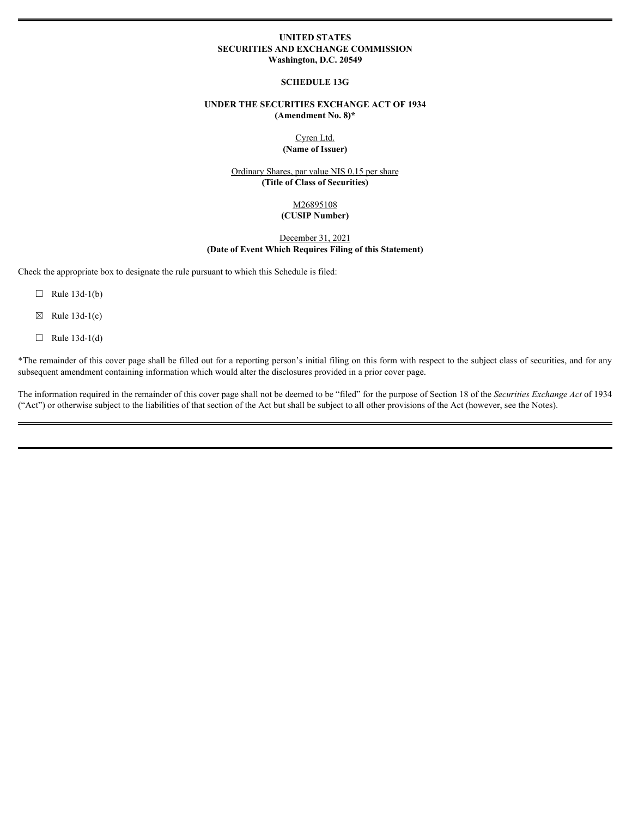# **UNITED STATES SECURITIES AND EXCHANGE COMMISSION Washington, D.C. 20549**

#### **SCHEDULE 13G**

# **UNDER THE SECURITIES EXCHANGE ACT OF 1934 (Amendment No. 8)\***

Cyren Ltd. **(Name of Issuer)**

Ordinary Shares, par value NIS 0.15 per share **(Title of Class of Securities)**

## M26895108 **(CUSIP Number)**

December 31, 2021 **(Date of Event Which Requires Filing of this Statement)**

Check the appropriate box to designate the rule pursuant to which this Schedule is filed:

- $\Box$  Rule 13d-1(b)
- $\boxtimes$  Rule 13d-1(c)
- $\Box$  Rule 13d-1(d)

\*The remainder of this cover page shall be filled out for a reporting person's initial filing on this form with respect to the subject class of securities, and for any subsequent amendment containing information which would alter the disclosures provided in a prior cover page.

The information required in the remainder of this cover page shall not be deemed to be "filed" for the purpose of Section 18 of the *Securities Exchange Act* of 1934 ("Act") or otherwise subject to the liabilities of that section of the Act but shall be subject to all other provisions of the Act (however, see the Notes).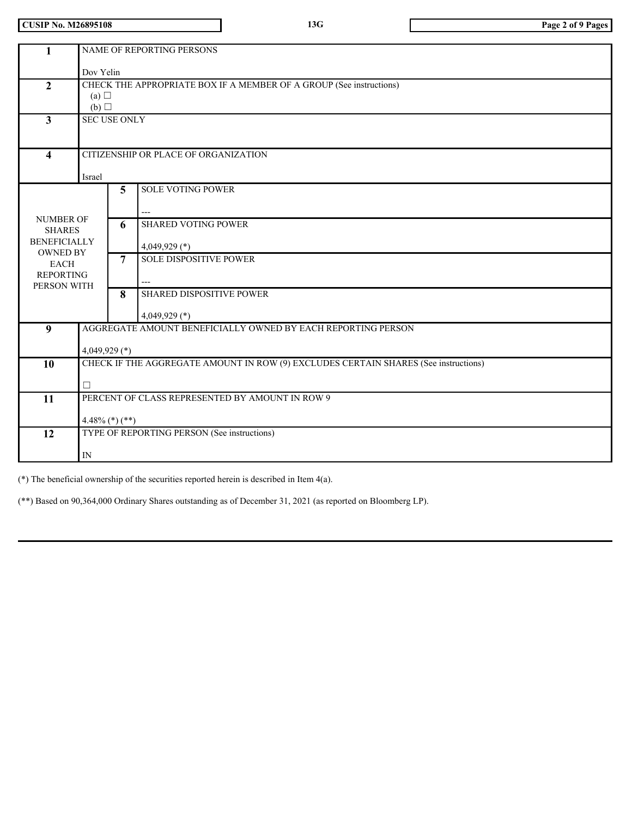**CUSIP No. M26895108 13G Page 2 of 9 Pages**

| $\mathbf{1}$                                                                | NAME OF REPORTING PERSONS                                                                |                |                                             |  |  |  |  |  |  |
|-----------------------------------------------------------------------------|------------------------------------------------------------------------------------------|----------------|---------------------------------------------|--|--|--|--|--|--|
|                                                                             | Dov Yelin                                                                                |                |                                             |  |  |  |  |  |  |
| $\overline{2}$                                                              | CHECK THE APPROPRIATE BOX IF A MEMBER OF A GROUP (See instructions)<br>(a) $\Box$<br>(b) |                |                                             |  |  |  |  |  |  |
| $\mathbf{3}$                                                                | <b>SEC USE ONLY</b>                                                                      |                |                                             |  |  |  |  |  |  |
| $\overline{\mathbf{4}}$                                                     | CITIZENSHIP OR PLACE OF ORGANIZATION<br>Israel                                           |                |                                             |  |  |  |  |  |  |
|                                                                             |                                                                                          | 5              | <b>SOLE VOTING POWER</b>                    |  |  |  |  |  |  |
| <b>NUMBER OF</b><br><b>SHARES</b><br><b>BENEFICIALLY</b><br><b>OWNED BY</b> |                                                                                          | 6              | <b>SHARED VOTING POWER</b><br>4,049,929 (*) |  |  |  |  |  |  |
| <b>EACH</b><br><b>REPORTING</b><br>PERSON WITH                              |                                                                                          | $\overline{7}$ | <b>SOLE DISPOSITIVE POWER</b>               |  |  |  |  |  |  |
|                                                                             |                                                                                          | 8              | SHARED DISPOSITIVE POWER<br>4,049,929 $(*)$ |  |  |  |  |  |  |
| 9                                                                           | AGGREGATE AMOUNT BENEFICIALLY OWNED BY EACH REPORTING PERSON                             |                |                                             |  |  |  |  |  |  |
|                                                                             | 4,049,929 $(*)$                                                                          |                |                                             |  |  |  |  |  |  |
| 10                                                                          | CHECK IF THE AGGREGATE AMOUNT IN ROW (9) EXCLUDES CERTAIN SHARES (See instructions)      |                |                                             |  |  |  |  |  |  |
|                                                                             | $\Box$                                                                                   |                |                                             |  |  |  |  |  |  |
| 11                                                                          | PERCENT OF CLASS REPRESENTED BY AMOUNT IN ROW 9                                          |                |                                             |  |  |  |  |  |  |
|                                                                             | $4.48\%$ (*) (**)                                                                        |                |                                             |  |  |  |  |  |  |
| 12                                                                          |                                                                                          |                | TYPE OF REPORTING PERSON (See instructions) |  |  |  |  |  |  |
|                                                                             | ${\rm IN}$                                                                               |                |                                             |  |  |  |  |  |  |
|                                                                             |                                                                                          |                |                                             |  |  |  |  |  |  |

(\*) The beneficial ownership of the securities reported herein is described in Item 4(a).

(\*\*) Based on 90,364,000 Ordinary Shares outstanding as of December 31, 2021 (as reported on Bloomberg LP).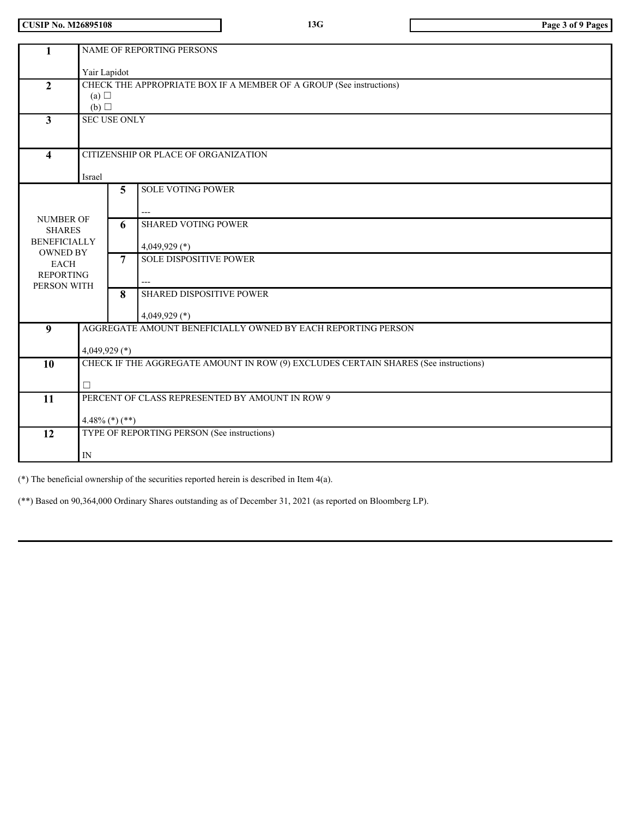**CUSIP No. M26895108 13G Page 3 of 9 Pages**

| $\mathbf{1}$                                                                |                                                                                                     |                     | NAME OF REPORTING PERSONS                                           |  |  |  |  |  |
|-----------------------------------------------------------------------------|-----------------------------------------------------------------------------------------------------|---------------------|---------------------------------------------------------------------|--|--|--|--|--|
|                                                                             | Yair Lapidot                                                                                        |                     |                                                                     |  |  |  |  |  |
| $\overline{2}$                                                              | (a) $\Box$<br>(b)                                                                                   |                     | CHECK THE APPROPRIATE BOX IF A MEMBER OF A GROUP (See instructions) |  |  |  |  |  |
| $\mathbf{3}$                                                                | <b>SEC USE ONLY</b>                                                                                 |                     |                                                                     |  |  |  |  |  |
| $\overline{\mathbf{4}}$                                                     | CITIZENSHIP OR PLACE OF ORGANIZATION<br>Israel                                                      |                     |                                                                     |  |  |  |  |  |
|                                                                             |                                                                                                     | 5                   | <b>SOLE VOTING POWER</b>                                            |  |  |  |  |  |
| <b>NUMBER OF</b><br><b>SHARES</b><br><b>BENEFICIALLY</b><br><b>OWNED BY</b> |                                                                                                     | 6                   | <b>SHARED VOTING POWER</b><br>4,049,929 $(*)$                       |  |  |  |  |  |
| <b>EACH</b><br><b>REPORTING</b><br>PERSON WITH                              |                                                                                                     | $\overline{7}$<br>8 | <b>SOLE DISPOSITIVE POWER</b>                                       |  |  |  |  |  |
|                                                                             |                                                                                                     |                     | <b>SHARED DISPOSITIVE POWER</b><br>4,049,929 $(*)$                  |  |  |  |  |  |
|                                                                             | AGGREGATE AMOUNT BENEFICIALLY OWNED BY EACH REPORTING PERSON<br>$\boldsymbol{9}$<br>4,049,929 $(*)$ |                     |                                                                     |  |  |  |  |  |
| $\overline{10}$                                                             | CHECK IF THE AGGREGATE AMOUNT IN ROW (9) EXCLUDES CERTAIN SHARES (See instructions)<br>$\Box$       |                     |                                                                     |  |  |  |  |  |
| $\overline{11}$                                                             | PERCENT OF CLASS REPRESENTED BY AMOUNT IN ROW 9<br>$4.48\%$ (*) (**)                                |                     |                                                                     |  |  |  |  |  |
| 12                                                                          | TYPE OF REPORTING PERSON (See instructions)<br>$\ensuremath{\text{IN}}$                             |                     |                                                                     |  |  |  |  |  |
|                                                                             |                                                                                                     |                     |                                                                     |  |  |  |  |  |

(\*) The beneficial ownership of the securities reported herein is described in Item 4(a).

(\*\*) Based on 90,364,000 Ordinary Shares outstanding as of December 31, 2021 (as reported on Bloomberg LP).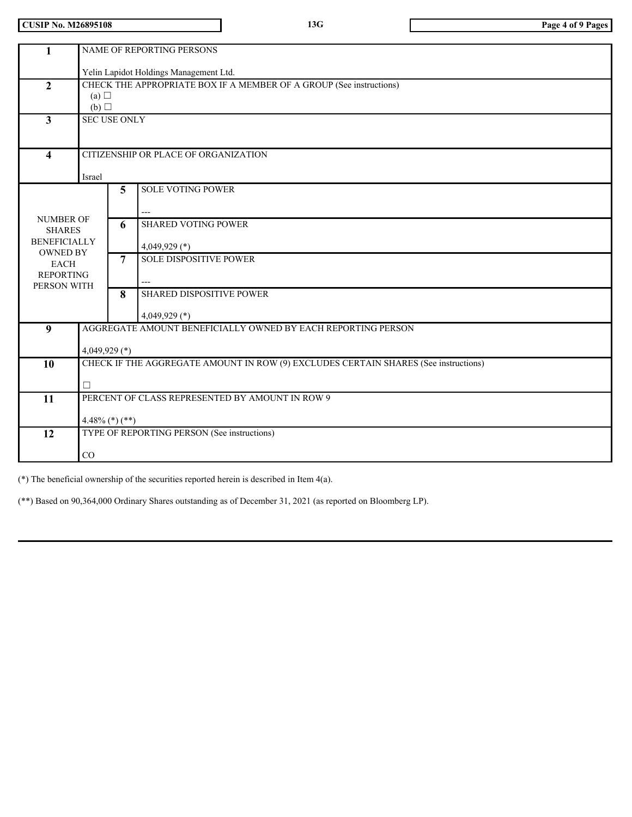**CUSIP No. M26895108 13G Page 4 of 9 Pages**

| $\mathbf{1}$                           |                                                                                           |   | NAME OF REPORTING PERSONS                                           |  |  |  |
|----------------------------------------|-------------------------------------------------------------------------------------------|---|---------------------------------------------------------------------|--|--|--|
|                                        | Yelin Lapidot Holdings Management Ltd.                                                    |   |                                                                     |  |  |  |
| $\mathbf{2}$                           |                                                                                           |   | CHECK THE APPROPRIATE BOX IF A MEMBER OF A GROUP (See instructions) |  |  |  |
| (a) $\Box$<br>(b)                      |                                                                                           |   |                                                                     |  |  |  |
| 3                                      | <b>SEC USE ONLY</b>                                                                       |   |                                                                     |  |  |  |
|                                        |                                                                                           |   |                                                                     |  |  |  |
| $\overline{\mathbf{4}}$                |                                                                                           |   | CITIZENSHIP OR PLACE OF ORGANIZATION                                |  |  |  |
|                                        | Israel                                                                                    |   |                                                                     |  |  |  |
|                                        |                                                                                           | 5 | <b>SOLE VOTING POWER</b>                                            |  |  |  |
|                                        |                                                                                           |   |                                                                     |  |  |  |
| <b>NUMBER OF</b><br><b>SHARES</b>      |                                                                                           | 6 | <b>SHARED VOTING POWER</b>                                          |  |  |  |
| <b>BENEFICIALLY</b><br><b>OWNED BY</b> |                                                                                           |   | 4,049,929 $(*)$                                                     |  |  |  |
| <b>EACH</b>                            |                                                                                           | 7 | <b>SOLE DISPOSITIVE POWER</b>                                       |  |  |  |
| <b>REPORTING</b><br>PERSON WITH        |                                                                                           |   |                                                                     |  |  |  |
|                                        |                                                                                           | 8 | SHARED DISPOSITIVE POWER                                            |  |  |  |
|                                        |                                                                                           |   | $4,049,929$ (*)                                                     |  |  |  |
| $\boldsymbol{9}$                       |                                                                                           |   | AGGREGATE AMOUNT BENEFICIALLY OWNED BY EACH REPORTING PERSON        |  |  |  |
|                                        | 4,049,929 $(*)$                                                                           |   |                                                                     |  |  |  |
|                                        | CHECK IF THE AGGREGATE AMOUNT IN ROW (9) EXCLUDES CERTAIN SHARES (See instructions)<br>10 |   |                                                                     |  |  |  |
|                                        | □                                                                                         |   |                                                                     |  |  |  |
| 11                                     |                                                                                           |   | PERCENT OF CLASS REPRESENTED BY AMOUNT IN ROW 9                     |  |  |  |
|                                        | $4.48\%$ (*) (**)                                                                         |   |                                                                     |  |  |  |
| $\overline{12}$                        |                                                                                           |   | TYPE OF REPORTING PERSON (See instructions)                         |  |  |  |
| CO                                     |                                                                                           |   |                                                                     |  |  |  |
|                                        |                                                                                           |   |                                                                     |  |  |  |

(\*) The beneficial ownership of the securities reported herein is described in Item 4(a).

(\*\*) Based on 90,364,000 Ordinary Shares outstanding as of December 31, 2021 (as reported on Bloomberg LP).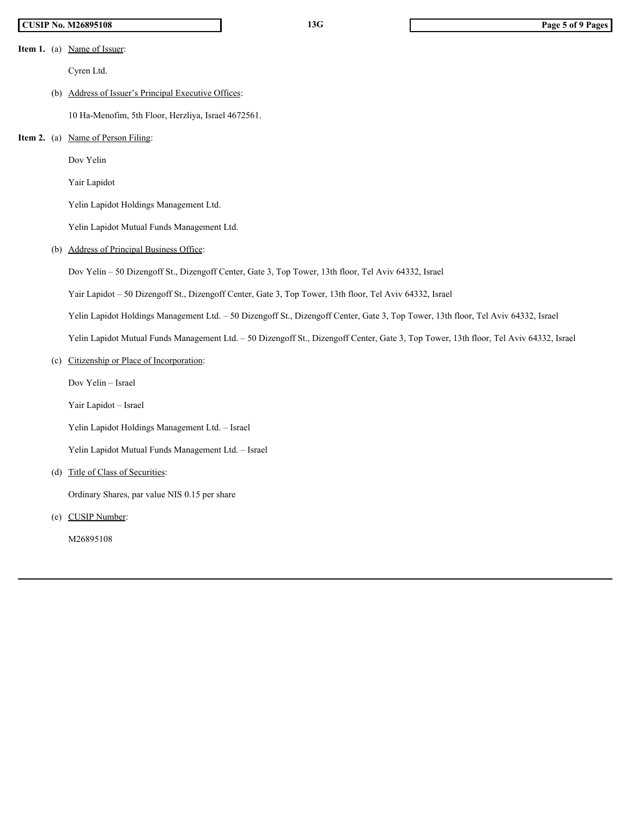# **CUSIP No. M26895108 13G Page 5 of 9 Pages**

**Item 1.** (a) <u>Name of Issuer</u>:

Cyren Ltd.

# (b) Address of Issuer's Principal Executive Offices:

10 Ha-Menofim, 5th Floor, Herzliya, Israel 4672561.

## **Item 2.** (a) <u>Name of Person Filing</u>:

Dov Yelin

Yair Lapidot

Yelin Lapidot Holdings Management Ltd.

Yelin Lapidot Mutual Funds Management Ltd.

(b) Address of Principal Business Office:

Dov Yelin – 50 Dizengoff St., Dizengoff Center, Gate 3, Top Tower, 13th floor, Tel Aviv 64332, Israel

Yair Lapidot – 50 Dizengoff St., Dizengoff Center, Gate 3, Top Tower, 13th floor, Tel Aviv 64332, Israel

Yelin Lapidot Holdings Management Ltd. – 50 Dizengoff St., Dizengoff Center, Gate 3, Top Tower, 13th floor, Tel Aviv 64332, Israel

Yelin Lapidot Mutual Funds Management Ltd. – 50 Dizengoff St., Dizengoff Center, Gate 3, Top Tower, 13th floor, Tel Aviv 64332, Israel

(c) Citizenship or Place of Incorporation:

Dov Yelin – Israel

Yair Lapidot – Israel

Yelin Lapidot Holdings Management Ltd. – Israel

Yelin Lapidot Mutual Funds Management Ltd. – Israel

(d) Title of Class of Securities:

Ordinary Shares, par value NIS 0.15 per share

(e) CUSIP Number:

M26895108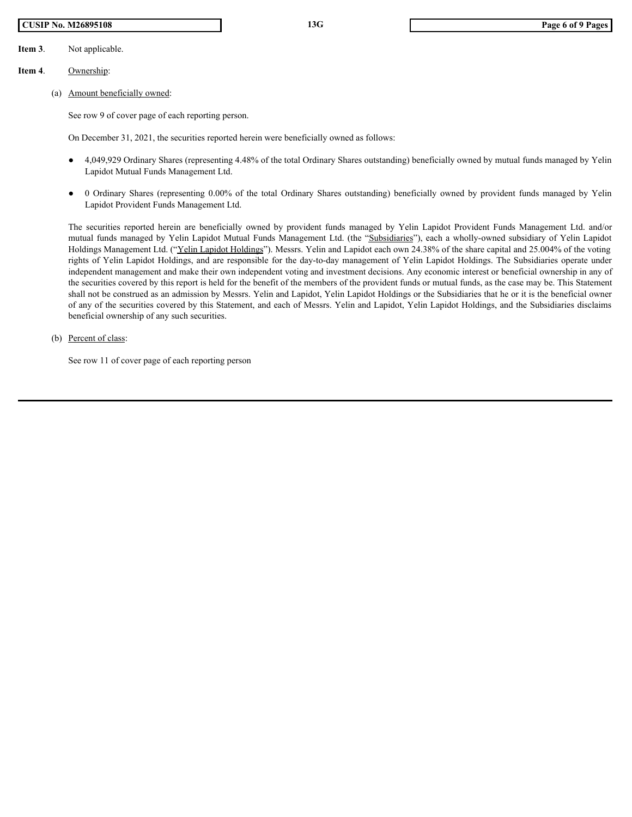# **CUSIP No. M26895108 13G Page 6 of 9 Pages**

**Item 3**. Not applicable.

# **Item 4**. Ownership:

(a) Amount beneficially owned:

See row 9 of cover page of each reporting person.

On December 31, 2021, the securities reported herein were beneficially owned as follows:

- 4,049,929 Ordinary Shares (representing 4.48% of the total Ordinary Shares outstanding) beneficially owned by mutual funds managed by Yelin Lapidot Mutual Funds Management Ltd.
- Lapidot Provident Funds Management Ltd.

**EXECUTE 10 1999 108**<br>
Not applicable.<br>
Nownership:<br>
Amount beneficially owned:<br>
See row 9 of cover page of each reporting person.<br>
On December 31, 2021, the securities reported herein were beneficially owned as follows:<br> **The SYSTION FORM CONTEXT CONTEXT CONTEXT CONTEXT CONTEXT CONTEXT CONTEXT CONTEXT CONTEXT CONTEXT CONTEXT CONTEXT CONTEXT CONTEXT CONTEXT CONTEXT CONTEXT CONTEXT CONTEXT CONTEXT CONTEXT CONTEXT CONTEXT CONTEXT CONTEXT CON** mutual funds managed by Yelin Lapidot Mutual Funds Management Ltd. (the "Subsidiaries"), each a wholly-owned subsidiary of Yelin Lapidot Holdings Management Ltd. ("Yelin Lapidot Holdings"). Messrs. Yelin and Lapidot each own 24.38% of the share capital and 25.004% of the voting rights of Yelin Lapidot Holdings, and are responsible for the day-to-day management of Yelin Lapidot Holdings. The Subsidiaries operate under independent management and make their own independent voting and investment decisions. Any economic interest or beneficial ownership in any of the securities covered by this report is held for the benefit of the members of the provident funds or mutual funds, as the case may be. This Statement shall not be construed as an admission by Messrs. Yelin and Lapidot, Yelin Lapidot Holdings or the Subsidiaries that he or it is the beneficial owner of any of the securities covered by this Statement, and each of Messrs. Yelin and Lapidot, Yelin Lapidot Holdings, and the Subsidiaries disclaims beneficial ownership of any such securities.

(b) Percent of class:

See row 11 of cover page of each reporting person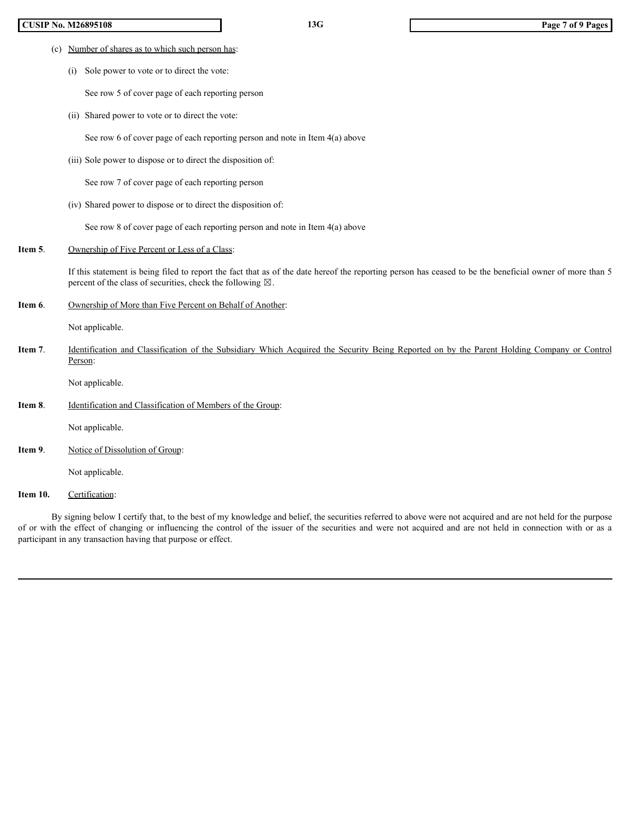## **CUSIP No. M26895108 13G Page 7 of 9 Pages**

- (c) Number of shares as to which such person has:
	- (i) Sole power to vote or to direct the vote:

See row 5 of cover page of each reporting person

(ii) Shared power to vote or to direct the vote:

See row 6 of cover page of each reporting person and note in Item 4(a) above

(iii) Sole power to dispose or to direct the disposition of:

See row 7 of cover page of each reporting person

(iv) Shared power to dispose or to direct the disposition of:

See row 8 of cover page of each reporting person and note in Item 4(a) above

**Item 5.** Ownership of Five Percent or Less of a Class:

If this statement is being filed to report the fact that as of the date hereof the reporting person has ceased to be the beneficial owner of more than 5 percent of the class of securities, check the following  $\boxtimes$ .

**Item 6.** Ownership of More than Five Percent on Behalf of Another:

Not applicable.

**ICENT Vo. M26095168**<br>
(i) Sole power to vote at to direct the vote:<br>
See row 8 of cave at to direct the sole.<br>
See row 8 of cover page of each reporting person<br>
(ii) Sole power to dispose or to direct the disposition of: Person:

Not applicable.

**Item 8**. Identification and Classification of Members of the Group:

Not applicable.

**Item 9.** Notice of Dissolution of Group:

Not applicable.

Item 10. Certification:

By signing below I certify that, to the best of my knowledge and belief, the securities referred to above were not acquired and are not held for the purpose (iv) Shared power to dispose or to direct the disposition of:<br>
Soc raw S of orover page of cach reporting person and note in lens  $4(s)$  above<br> **Or angular or**  $S$  (Denoted the Changing Halls negative the following  $S$ ).<br> participant in any transaction having that purpose or effect.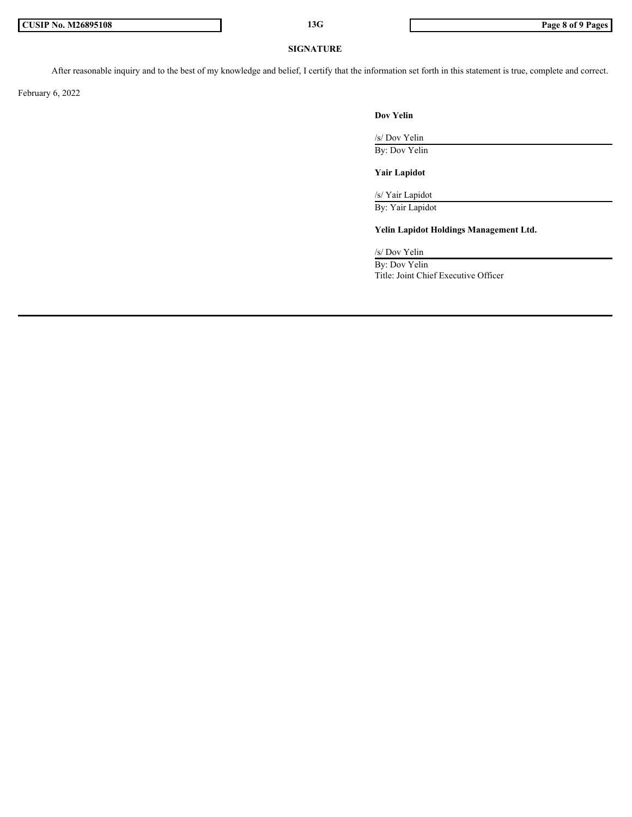#### **SIGNATURE**

After reasonable inquiry and to the best of my knowledge and belief, I certify that the information set forth in this statement is true, complete and correct.

February 6, 2022

### **Dov Yelin**

/s/ Dov Yelin By: Dov Yelin

## **Yair Lapidot**

/s/ Yair Lapidot

By: Yair Lapidot

**Yelin Lapidot Holdings Management Ltd.**

/s/ Dov Yelin By: Dov Yelin

Title: Joint Chief Executive Officer